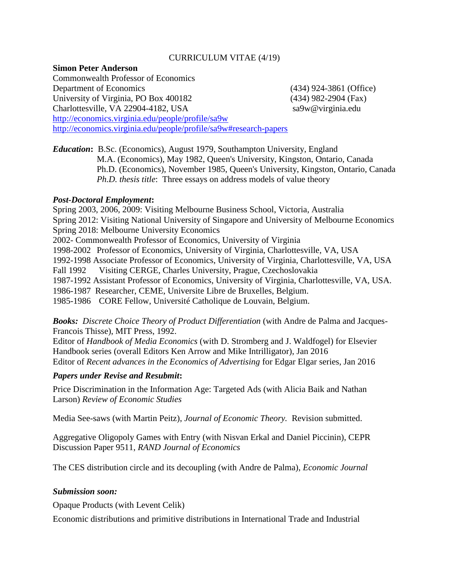## CURRICULUM VITAE (4/19)

### **Simon Peter Anderson**

Commonwealth Professor of Economics Department of Economics (434) 924-3861 (Office) University of Virginia, PO Box 400182 (434) 982-2904 (Fax) Charlottesville, VA 22904-4182, USA sa9w@virginia.edu <http://economics.virginia.edu/people/profile/sa9w> http://economics.virginia.edu/people/profile/sa9w#research-papers

*Education***:** B.Sc. (Economics), August 1979, Southampton University, England M.A. (Economics), May 1982, Queen's University, Kingston, Ontario, Canada Ph.D. (Economics), November 1985, Queen's University, Kingston, Ontario, Canada  *Ph.D. thesis title*: Three essays on address models of value theory

## *Post-Doctoral Employment***:**

Spring 2003, 2006, 2009: Visiting Melbourne Business School, Victoria, Australia Spring 2012: Visiting National University of Singapore and University of Melbourne Economics Spring 2018: Melbourne University Economics 2002- Commonwealth Professor of Economics, University of Virginia 1998-2002 Professor of Economics, University of Virginia, Charlottesville, VA, USA 1992-1998 Associate Professor of Economics, University of Virginia, Charlottesville, VA, USA Fall 1992 Visiting CERGE, Charles University, Prague, Czechoslovakia 1987-1992 Assistant Professor of Economics, University of Virginia, Charlottesville, VA, USA. 1986-1987 Researcher, CEME, Universite Libre de Bruxelles, Belgium. 1985-1986 CORE Fellow, Université Catholique de Louvain, Belgium.

**Books:** Discrete Choice Theory of Product Differentiation (with Andre de Palma and Jacques-Francois Thisse), MIT Press, 1992.

Editor of *Handbook of Media Economics* (with D. Stromberg and J. Waldfogel) for Elsevier Handbook series (overall Editors Ken Arrow and Mike Intrilligator), Jan 2016 Editor of *Recent advances in the Economics of Advertising* for Edgar Elgar series, Jan 2016

# *Papers under Revise and Resubmit***:**

Price Discrimination in the Information Age: Targeted Ads (with Alicia Baik and Nathan Larson) *Review of Economic Studies*

Media See-saws (with Martin Peitz), *Journal of Economic Theory.* Revision submitted.

Aggregative Oligopoly Games with Entry (with Nisvan Erkal and Daniel Piccinin), CEPR Discussion Paper 9511, *RAND Journal of Economics* 

The CES distribution circle and its decoupling (with Andre de Palma), *Economic Journal*

## *Submission soon:*

Opaque Products (with Levent Celik)

Economic distributions and primitive distributions in International Trade and Industrial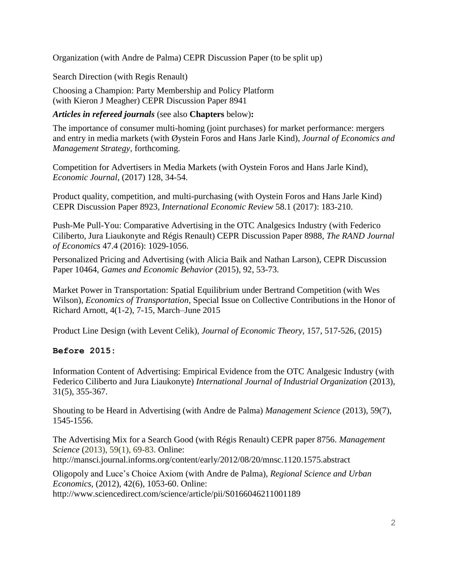Organization (with Andre de Palma) CEPR Discussion Paper (to be split up)

Search Direction (with Regis Renault)

Choosing a Champion: Party Membership and Policy Platform (with Kieron J Meagher) CEPR Discussion Paper 8941

*Articles in refereed journals* (see also **Chapters** below)**:**

The importance of consumer multi-homing (joint purchases) for market performance: mergers and entry in media markets (with Øystein Foros and Hans Jarle Kind), *Journal of Economics and Management Strategy,* forthcoming.

Competition for Advertisers in Media Markets (with Oystein Foros and Hans Jarle Kind), *Economic Journal*, (2017) 128, 34-54.

Product quality, competition, and multi-purchasing (with Oystein Foros and Hans Jarle Kind) CEPR Discussion Paper 8923, *International Economic Review* 58.1 (2017): 183-210.

Push-Me Pull-You: Comparative Advertising in the OTC Analgesics Industry (with Federico Ciliberto, Jura Liaukonyte and Régis Renault) CEPR Discussion Paper 8988, *The RAND Journal of Economics* 47.4 (2016): 1029-1056.

Personalized Pricing and Advertising (with Alicia Baik and Nathan Larson), CEPR Discussion Paper 10464, *Games and Economic Behavior* (2015), 92, 53-73.

Market Power in Transportation: Spatial Equilibrium under Bertrand Competition (with Wes Wilson), *Economics of Transportation,* Special Issue on Collective Contributions in the Honor of Richard Arnott, 4(1-2), 7-15, March–June 2015

Product Line Design (with Levent Celik), *Journal of Economic Theory,* 157, 517-526, (2015)

# **Before 2015:**

Information Content of Advertising: Empirical Evidence from the OTC Analgesic Industry (with Federico Ciliberto and Jura Liaukonyte) *International Journal of Industrial Organization* (2013), 31(5), 355-367.

Shouting to be Heard in Advertising (with Andre de Palma) *Management Science* (2013), 59(7), 1545-1556.

The Advertising Mix for a Search Good (with Régis Renault) CEPR paper 8756. *Management Science* (2013), 59(1), 69-83. Online: http://mansci.journal.informs.org/content/early/2012/08/20/mnsc.1120.1575.abstract

Oligopoly and Luce's Choice Axiom (with Andre de Palma), *Regional Science and Urban Economics*, (2012), 42(6), 1053-60. Online: http://www.sciencedirect.com/science/article/pii/S0166046211001189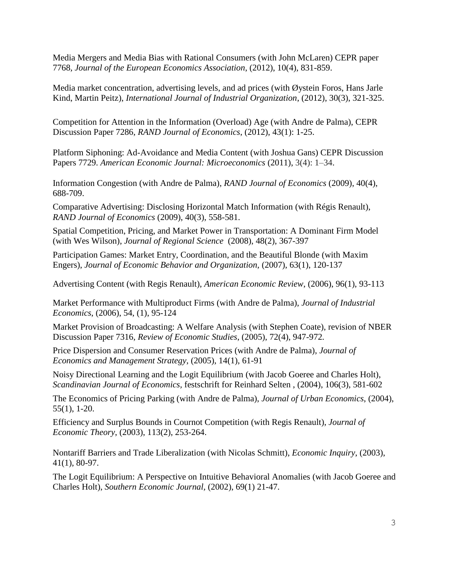[Media Mergers and Media Bias with Rational Consumers](http://ideas.repec.org/p/cpr/ceprdp/7768.html) (with John McLaren) CEPR paper 7768*, Journal of the European Economics Association*, (2012), 10(4), 831-859.

Media market concentration, advertising levels, and ad prices (with Øystein Foros, Hans Jarle Kind, Martin Peitz), *International Journal of Industrial Organization*, (2012), 30(3), 321-325.

Competition for Attention in the Information (Overload) Age (with Andre de Palma), CEPR Discussion Paper 7286, *RAND Journal of Economics*, (2012), 43(1): 1-25.

[Platform Siphoning: Ad-Avoidance and Media Content](http://ideas.repec.org/p/cpr/ceprdp/7729.html) (with Joshua Gans) [CEPR Discussion](http://ideas.repec.org/s/cpr/ceprdp.html)  [Papers](http://ideas.repec.org/s/cpr/ceprdp.html) 7729. *American Economic Journal: Microeconomics* (2011), 3(4): 1–34.

Information Congestion (with Andre de Palma), *RAND Journal of Economics* (2009), 40(4), 688-709.

[Comparative Advertising: Disclosing Horizontal Match Information](http://www.virginia.edu/economics/papers/anderson/compad061106.pdf) (with Régis Renault), *RAND Journal of Economics* (2009), 40(3), 558-581.

Spatial Competition, Pricing, and Market Power in Transportation: A Dominant Firm Model (with Wes Wilson), *Journal of Regional Science* (2008), 48(2), 367-397

[Participation Games: Market Entry, Coordination, and the Beautiful Blonde](http://www.elsevier.com/locate/jebo) (with Maxim Engers), *Journal of Economic Behavior and Organization,* (2007), 63(1), 120-137

[Advertising Content](file:///C:/Users/sa9w/Desktop/djb4c/Local%20Settings/Temporary%20Internet%20Files/Content.Outlook/0HA8F0OY/Anderson/adcontfinal102605.pdf) (with Regis Renault), *American Economic Review*, (2006), 96(1), 93-113

[Market Performance with Multiproduct Firms](http://www.virginia.edu/economics/papers/anderson/012605jiempfsk2701a.pdf) (with Andre de Palma), *Journal of Industrial Economics*, (2006), 54, (1), 95-124

[Market Provision of Broadcasting: A Welfare Analysis](http://www.virginia.edu/economics/papers/anderson/newbroad.pdf) (with Stephen Coate), revision of NBER Discussion Paper 7316, *Review of Economic Studies*, (2005), 72(4), 947-972*.*

[Price Dispersion and Consumer Reservation Prices](http://www.virginia.edu/economics/papers/anderson/JEMS.2004-06-24.anderson.pdf.pdf) (with Andre de Palma), *Journal of Economics and Management Strategy*, (2005), 14(1), 61-91

[Noisy Directional Learning and the Logit Equilibrium](http://www.virginia.edu/economics/papers/anderson/11_sjoe11.pdf) (with Jacob Goeree and Charles Holt), *Scandinavian Journal of Economics,* festschrift for Reinhard Selten , (2004), 106(3), 581-602

[The Economics of Pricing Parking](file:///C:/Users/sa9w/Desktop/djb4c/Local%20Settings/Temporary%20Internet%20Files/Content.Outlook/papers/anderson/parkPRS.pdf) (with Andre de Palma), *Journal of Urban Economics*, (2004), 55(1), 1-20[.](file:///C:/Users/sa9w/Desktop/djb4c/Local%20Settings/Temporary%20Internet%20Files/Content.Outlook/0HA8F0OY/Anderson/efficsurplus.pdf)

[Efficiency and Surplus Bounds in Cournot Competition](file:///C:/Users/sa9w/Desktop/djb4c/Local%20Settings/Temporary%20Internet%20Files/Content.Outlook/0HA8F0OY/Anderson/efficsurplus.pdf) (with Regis Renault), *Journal of Economic Theory*, (2003), 113(2), 253-264.

[Nontariff Barriers and Trade Liberalization](http://www.cesifo.de/pls/ifo_app/DocLinkCESifoDl?getDoc=WP254.PDF) (with Nicolas Schmitt), *Economic Inquiry*, (2003), 41(1), 80-97.

[The Logit Equilibrium: A Perspective on Intuitive Behavioral Anomalies](ftp://ftp.virginia.edu/pub/bk5x/RePEc/vir/virpap/papers/virpap332.pdf) (with Jacob Goeree and Charles Holt), *Southern Economic Journal,* (2002), 69(1) 21-47.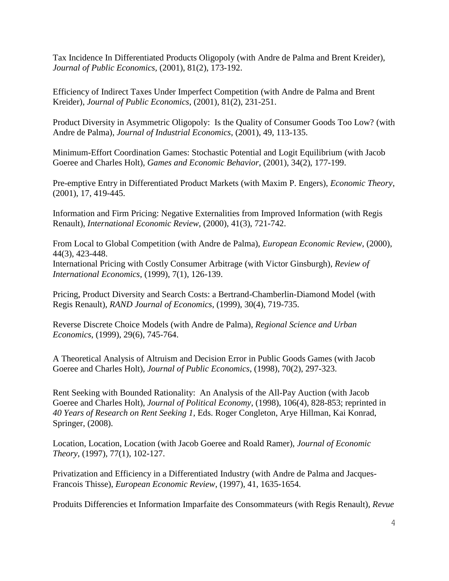[Tax Incidence In Differentiated Products Oligopoly](ftp://ftp.virginia.edu/pub/bk5x/RePEc/vir/virpap/papers/virpap341.pdf) (with Andre de Palma and Brent Kreider), *Journal of Public Economics,* (2001), 81(2), 173-192.

[Efficiency of Indirect Taxes Under Imperfect Competition](ftp://ftp.virginia.edu/pub/bk5x/RePEc/vir/virpap/papers/virpap342.pdf) (with Andre de Palma and Brent Kreider), *Journal of Public Economics*, (2001), 81(2), 231-251.

[Product Diversity in Asymmetric Oligopoly: Is the Quality of Consumer Goods Too Low?](http://www.people.virginia.edu/~sa9w/papers_files/quality7lasteee.pdf) (with Andre de Palma), *Journal of Industrial Economics*, (2001), 49, 113-135.

[Minimum-Effort Coordination Games: Stochastic Potential and Logit Equilibrium](http://www.people.virginia.edu/~cah2k/mineff.pdf) (with Jacob Goeree and Charles Holt), *Games and Economic Behavior*, (2001), 34(2), 177-199.

Pre-emptive [Entry in Differentiated Product Markets](ftp://ftp.virginia.edu/pub/bk5x/RePEc/vir/virpap/papers/virpap334.pdf) (with Maxim P. Engers), *Economic Theory*, (2001), 17, 419-445.

[Information and Firm Pricing: Negative Externalities from Improved Information](ftp://ftp.virginia.edu/pub/bk5x/RePEc/vir/virpap/papers/virpap338.pdf) (with Regis Renault), *International Economic Review*, (2000), 41(3), 721-742.

[From Local to Global Competition](ftp://ftp.virginia.edu/pub/bk5x/RePEc/vir/virpap/papers/virpap344.pdf) (with Andre de Palma), *European Economic Review*, (2000), 44(3), 423-448.

[International Pricing with Costly Consumer Arbitrage](http://www.virginia.edu/economics/papers/anderson/1373.pdf) (with Victor Ginsburgh), *Review of International Economics*, (1999), 7(1), 126-139.

[Pricing, Product Diversity and Search Costs: a Bertrand-Chamberlin-Diamond Model](ftp://ftp.virginia.edu/pub/bk5x/RePEc/vir/virpap/papers/virpap335.pdf) (with Regis Renault), *RAND Journal of Economics*, (1999), 30(4), 719-735.

Reverse Discrete Choice Models (with Andre de Palma), *Regional Science and Urban Economics*, (1999), 29(6), 745-764.

[A Theoretical Analysis of Altruism and Decision Error in Public Goods Games](http://www.sciencedirect.com/science/article/B6V76-3TWYC99-6/2/9668037fd2dd6166803a18c333f22eb0) (with Jacob Goeree and Charles Holt), *Journal of Public Economics*, (1998), 70(2), 297-323.

[Rent Seeking with Bounded Rationality: An Analysis of the All-Pay Auction](http://www.people.virginia.edu/~cah2k/allpay.pdf) (with Jacob Goeree and Charles Holt), *Journal of Political Economy*, (1998), 106(4), 828-853; reprinted in *40 Years of Research on Rent Seeking 1,* Eds. Roger Congleton, Arye Hillman, Kai Konrad, Springer, (2008).

[Location, Location, Location](http://www.sciencedirect.com/science?_ob=MImg&_imagekey=B6WJ3-45S934F-6-1&_cdi=6867&_user=709071&_orig=browse&_coverDate=11%2F30%2F1997&_sk=999229998&view=c&wchp=dGLbVtb-zSkWW&md5=c96f8976f47de0bc34b3d234abc65c6b&ie=/sdarticle.pdf) (with Jacob Goeree and Roald Ramer), *Journal of Economic Theory*, (1997), 77(1), 102-127.

[Privatization and Efficiency in a Differentiated Industry](http://www.cepr.org/pubs/dps/DP1136.asp) (with Andre de Palma and Jacques-Francois Thisse), *European Economic Review*, (1997), 41, 1635-1654.

[Produits Differencies et Information Imparfaite des Consommateurs](file:///C:/Users/sa9w/Desktop/djb4c/Local%20Settings/Temporary%20Internet%20Files/Content.Outlook/0HA8F0OY/Anderson/produits.pdf) (with Regis Renault), *Revue*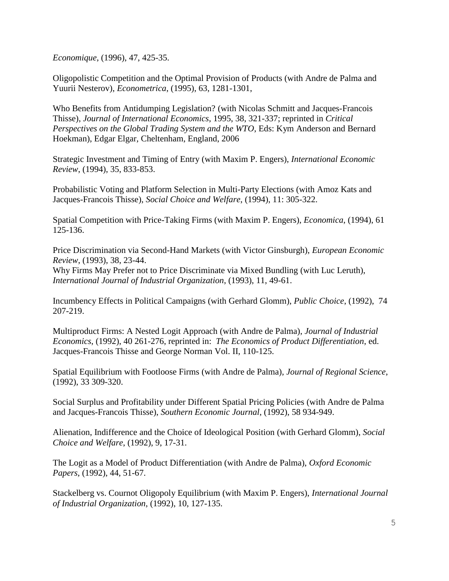*Economique*, (1996), 47, 425-35.

[Oligopolistic Competition and the Optimal Provision of Products](http://links.jstor.org/sici?sici=0012-9682%28199511%2963%3A6%3C1281%3AOCATOP%3E2.0.CO%3B2-L&origin=repec) (with Andre de Palma and Yuurii Nesterov), *Econometrica*, (1995), 63, 1281-1301,

[Who Benefits from Antidumping Legislation?](http://www.sciencedirect.com/science/article/B6V6D-3YN9D9X-6/2/36328366e7b3a38908972a14a6a23a60) (with Nicolas Schmitt and Jacques-Francois Thisse), *Journal of International Economics*, 1995, 38, 321-337; reprinted in *Critical Perspectives on the Global Trading System and the WTO*, Eds: Kym Anderson and Bernard Hoekman), Edgar Elgar, Cheltenham, England, 2006

[Strategic Investment and Timing of Entry](http://links.jstor.org/sici?sici=0020-6598%28199411%2935%3A4%3C833%3ASIATOE%3E2.0.CO%3B2-3&origin=repec) (with Maxim P. Engers), *International Economic Review*, (1994), 35, 833-853.

[Probabilistic Voting and Platform Selection in Multi-Party Elections](http://www.google.com/search?hl=en&lr=&q=Incumbency+Effects+in+Political+Campaignshttp://www.springerlink.com/openurl.asp?genre=article&issn=0176-1714&volume=11&issue=4&spage=305) (with Amoz Kats and Jacques-Francois Thisse), *Social Choice and Welfare*, (1994), 11: 305-322.

[Spatial Competition with Price-Taking Firms](http://links.jstor.org/sici?sici=0013-0427%28199405%292%3A61%3A242%3C125%3ASCWPF%3E2.0.CO%3B2-0&origin=repec) (with Maxim P. Engers), *Economica*, (1994), 61 125-136.

[Price Discrimination via Second-Hand Markets](http://www.sciencedirect.com/science/article/B6V64-45BC5GS-3/2/a01dd7f3eb1cb3ee7a09a95cb4f7265c) (with Victor Ginsburgh), *European Economic Review*, (1993), 38, 23-44.

[Why Firms May Prefer not to Price Discriminate via Mixed Bundling](http://www.sciencedirect.com/science/article/B6V8P-45KNK0V-D/2/dc200950dc2074ada951c519389f56b1) (with Luc Leruth), *International Journal of Industrial Organization*, (1993), 11, 49-61.

[Incumbency Effects in Political Campaigns](http://www.springerlink.com/openurl.asp?genre=article&issn=0176-1714&volume=11&issue=4&spage=305) (with Gerhard Glomm), *Public Choice*, (1992), 74 207-219.

[Multiproduct Firms: A Nested Logit Approach](http://www.kellogg.nwu.edu/research/math/dps/973.pdf) (with Andre de Palma), *Journal of Industrial Economics*, (1992), 40 261-276, reprinted in: *The Economics of Product Differentiation*, ed. Jacques-Francois Thisse and George Norman Vol. II, 110-125.

[Spatial Equilibrium with Footloose Firms](file:///C:/Users/sa9w/Desktop/djb4c/Local%20Settings/Temporary%20Internet%20Files/Content.Outlook/0HA8F0OY/Anderson/footloose%20firms.pdf) (with Andre de Palma), *Journal of Regional Science*, (1992), 33 309-320.

[Social Surplus and Profitability under Different Spatial Pricing Policies](file:///C:/Users/sa9w/Desktop/djb4c/Local%20Settings/Temporary%20Internet%20Files/Content.Outlook/0HA8F0OY/Anderson/Social%20Surplus.pdf) (with Andre de Palma and Jacques-Francois Thisse), *Southern Economic Journal*, (1992), 58 934-949.

[Alienation, Indifference and the Choice of Ideological Position](file:///C:/Users/sa9w/Desktop/djb4c/Local%20Settings/Temporary%20Internet%20Files/Content.Outlook/0HA8F0OY/Anderson/alienation.pdf) (with Gerhard Glomm), *Social Choice and Welfare*, (1992), 9, 17-31.

The Logit as a Model of Product Differentiation (with Andre de Palma), *Oxford Economic Papers*, (1992), 44, 51-67.

[Stackelberg vs. Cournot Oligopoly Equilibrium](file:///C:/Users/sa9w/Desktop/djb4c/Local%20Settings/Temporary%20Internet%20Files/Content.Outlook/0HA8F0OY/Anderson/Stackelberg.pdf) (with Maxim P. Engers), *International Journal of Industrial Organization*, (1992), 10, 127-135.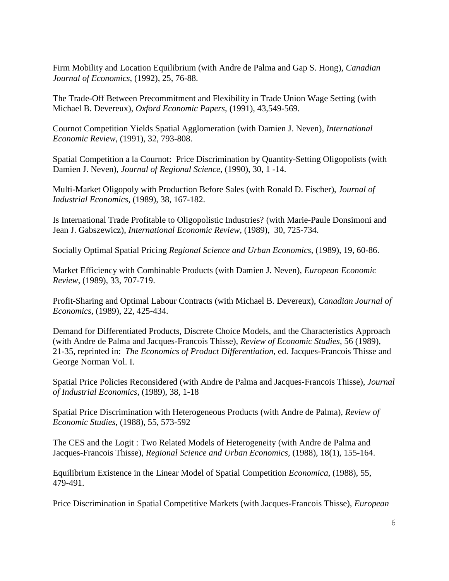[Firm Mobility and Location Equilibrium](file:///C:/Users/sa9w/Desktop/djb4c/Local%20Settings/Temporary%20Internet%20Files/Content.Outlook/0HA8F0OY/Anderson/Firm%20mobility.pdf) (with Andre de Palma and Gap S. Hong), *Canadian Journal of Economics*, (1992), 25, 76-88.

The Trade-Off Between Precommitment and Flexibility in Trade Union Wage Setting (with Michael B. Devereux), *Oxford Economic Papers*, (1991), 43,549-569.

[Cournot Competition Yields Spatial Agglomeration](http://links.jstor.org/sici?sici=0020-6598%28199111%2932%3A4%3C793%3ACCYSA%3E2.0.CO%3B2-N&origin=repec) (with Damien J. Neven), *International Economic Review*, (1991), 32, 793-808.

[Spatial Competition a la Cournot: Price Discrimination by Quantity-Setting Oligopolists](file:///C:/Users/sa9w/Desktop/djb4c/Local%20Settings/Temporary%20Internet%20Files/Content.Outlook/0HA8F0OY/Anderson/Spatial%20competition.pdf) (with Damien J. Neven), *Journal of Regional Science*, (1990), 30, 1 -14.

Multi-Market Oligopoly with Production Before Sales (with Ronald D. Fischer), *Journal of Industrial Economics*, (1989), 38, 167-182.

[Is International Trade Profitable to Oligopolistic Industries?](file:///C:/Users/sa9w/Desktop/djb4c/Local%20Settings/Temporary%20Internet%20Files/Content.Outlook/0HA8F0OY/Anderson/International%20Trade.pdf) (with Marie-Paule Donsimoni and Jean J. Gabszewicz), *International Economic Review*, (1989), 30, 725-734.

[Socially Optimal Spatial Pricing](file:///C:/Users/sa9w/Desktop/djb4c/Local%20Settings/Temporary%20Internet%20Files/Content.Outlook/0HA8F0OY/Anderson/Socially%20Optimal.pdf) *Regional Science and Urban Economics*, (1989), 19, 60-86.

[Market Efficiency with Combinable Products](file:///C:/Users/sa9w/Desktop/djb4c/Local%20Settings/Temporary%20Internet%20Files/Content.Outlook/0HA8F0OY/Anderson/market%20Effec.pdf) (with Damien J. Neven), *European Economic Review*, (1989), 33, 707-719.

[Profit-Sharing and Optimal Labour Contracts](file:///C:/Users/sa9w/Desktop/djb4c/Local%20Settings/Temporary%20Internet%20Files/Content.Outlook/0HA8F0OY/Anderson/profit-sharing.pdf) (with Michael B. Devereux), *Canadian Journal of Economics*, (1989), 22, 425-434.

Demand for Differentiated Products, Discrete Choice Models, and the Characteristics Approach (with Andre de Palma and Jacques-Francois Thisse), *Review of Economic Studies*, 56 (1989), 21-35, reprinted in: *The Economics of Product Differentiation*, ed. Jacques-Francois Thisse and George Norman Vol. I.

Spatial Price Policies Reconsidered (with Andre de Palma and Jacques-Francois Thisse), *Journal of Industrial Economics*, (1989), 38, 1-18

[Spatial Price Discrimination with Heterogeneous Products](http://links.jstor.org/sici?sici=0034-6527%28198810%2955%3A4%3C573%3ASPDWHP%3E2.0.CO%3B2-4&origin=bc) (with Andre de Palma), *Review of Economic Studies*, (1988), 55, 573-592

[The CES and the Logit : Two Related Models of Heterogeneity](file:///C:/Users/sa9w/Desktop/djb4c/Local%20Settings/Temporary%20Internet%20Files/Content.Outlook/0HA8F0OY/Anderson/ces.pdf) (with Andre de Palma and Jacques-Francois Thisse), *Regional Science and Urban Economics,* (1988), 18(1), 155-164.

[Equilibrium Existence in the Linear Model of Spatial Competition](http://links.jstor.org/sici?sici=0013-0427%28198811%292%3A55%3A220%3C479%3AEEITLM%3E2.0.CO%3B2-U&origin=repec) *Economica*, (1988), 55, 479-491.

Price Discrimination in Spatial Competitive Markets (with Jacques-Francois Thisse), *European*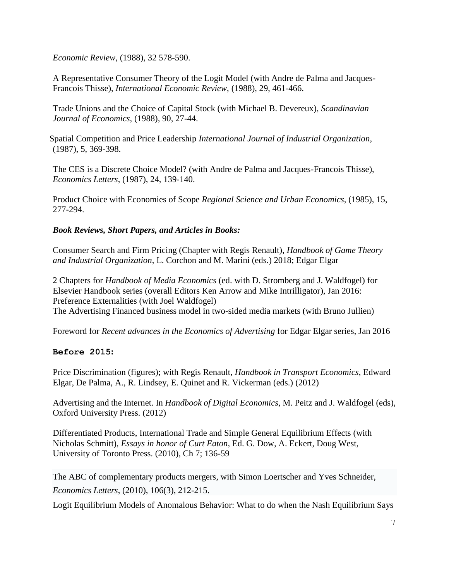*Economic Review*, (1988), 32 578-590.

[A Representative Consumer Theory of the Logit Model](file:///C:/Users/sa9w/Desktop/djb4c/Local%20Settings/Temporary%20Internet%20Files/Content.Outlook/0HA8F0OY/Anderson/logit%20model.pdf) (with Andre de Palma and Jacques-Francois Thisse), *International Economic Review*, (1988), 29, 461-466.

[Trade Unions and the Choice of Capital Stock](file:///C:/Users/sa9w/Desktop/djb4c/Local%20Settings/Temporary%20Internet%20Files/Content.Outlook/0HA8F0OY/Anderson/Trade%20Unions.pdf) (with Michael B. Devereux), *Scandinavian Journal of Economics*, (1988), 90, 27-44.

Spatial Competition and Price Leadership *International Journal of Industrial Organization*, (1987), 5, 369-398.

The CES is a Discrete Choice Model? (with Andre de Palma and Jacques-Francois Thisse), *Economics Letters*, (1987), 24, 139-140.

[Product Choice with Economies of Scope](file:///C:/Users/sa9w/Desktop/djb4c/Local%20Settings/Temporary%20Internet%20Files/Content.Outlook/0HA8F0OY/Anderson/product%20choice.pdf) *Regional Science and Urban Economics,* (1985), 15, 277-294.

# *Book Reviews, Short Papers, and Articles in Books:*

Consumer Search and Firm Pricing (Chapter with Regis Renault), *Handbook of Game Theory and Industrial Organization*, L. Corchon and M. Marini (eds.) 2018; Edgar Elgar

2 Chapters for *Handbook of Media Economics* (ed. with D. Stromberg and J. Waldfogel) for Elsevier Handbook series (overall Editors Ken Arrow and Mike Intrilligator), Jan 2016: Preference Externalities (with Joel Waldfogel) The Advertising Financed business model in two-sided media markets (with Bruno Jullien)

Foreword for *Recent advances in the Economics of Advertising* for Edgar Elgar series, Jan 2016

# **Before 2015:**

[Price Discrimination](file:///C:/Users/sa9w/Desktop/from%20Inspiron%20101210/papers/anderson/pricedisc080808.pdf) [\(figures\)](file:///C:/Users/sa9w/Desktop/from%20Inspiron%20101210/papers/anderson/tarifdisc_pics080313_edited.doc); with Regis Renault, *Handbook in Transport Economics*, Edward Elgar, De Palma, A., R. Lindsey, E. Quinet and R. Vickerman (eds.) (2012)

Advertising and the Internet. In *Handbook of Digital Economics*, M. Peitz and J. Waldfogel (eds), Oxford University Press. (2012)

[Differentiated Products, International Trade and Simple General Equilibrium Effects](file:///C:/Users/sa9w/Desktop/djb4c/Local%20Settings/Temporary%20Internet%20Files/Content.Outlook/papers/anderson/curtconf_june08.pdf) (with Nicholas Schmitt), *Essays in honor of Curt Eaton*, Ed. G. Dow, A. Eckert, Doug West, University of Toronto Press. (2010), Ch 7; 136-59

[The ABC of complementary products mergers,](file:///C:/Users/sa9w/Desktop/djb4c/Local%20Settings/Temporary%20Internet%20Files/Content.Outlook/0HA8F0OY/Anderson/ABC4EL081014.pdf) with Simon Loertscher and Yves Schneider, *Economics Letters*, (2010), 106(3), 212-215.

Logit Equilibrium Models of Anomalous Behavior: What to do when the Nash Equilibrium Says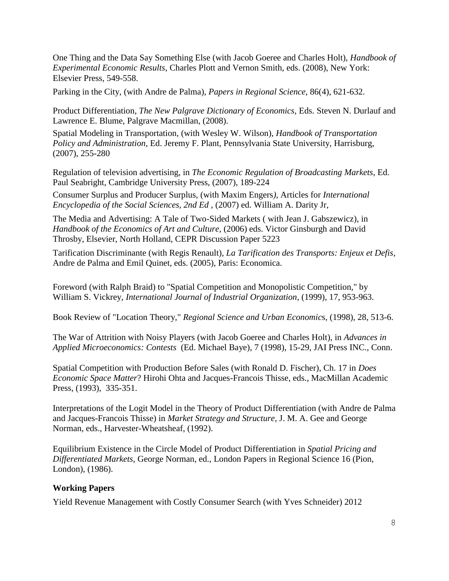One Thing and the Data Say Something Else (with Jacob Goeree and Charles Holt), *Handbook of Experimental Economic Results*, Charles Plott and Vernon Smith, eds. (2008), New York: Elsevier Press, 549-558.

[Parking in the City,](http://www.virginia.edu/economics/papers/anderson/parkPRS.pdf) (with Andre de Palma), *Papers in Regional Science*, 86(4), 621-632.

[Product Differentiation](http://www.virginia.edu/economics/papers/anderson/Product%20differentiation%204-15-5.doc)*, The New Palgrave Dictionary of Economics,* Eds. Steven N. Durlauf and Lawrence E. Blume, Palgrave Macmillan, (2008).

[Spatial Modeling in Transportation,](http://www.virginia.edu/economics/papers/anderson/SPATIAL%20MODELING%20IN%20TRANSPORTATION%20final.pdf) (with Wesley W. Wilson), *Handbook of Transportation Policy and Administration,* Ed. Jeremy F. Plant, Pennsylvania State University, Harrisburg, (2007), 255-280

[Regulation of television advertising,](http://www.virginia.edu/economics/papers/anderson/tvadreg081705.pdf) in *The Economic Regulation of Broadcasting Markets,* Ed. Paul Seabright, Cambridge University Press, (2007), 189-224

[Consumer Surplus](http://virginia.edu/economics/papers/anderson/consumer.doc) and [Producer Surplus,](http://www.virginia.edu/economics/papers/anderson/producer.doc) (with Maxim Engers*),* Articles for *International Encyclopedia of the Social Sciences, 2nd Ed ,* (2007) ed. William A. Darity Jr,

[The Media and Advertising: A Tale of Two-Sided Markets](http://www.virginia.edu/economics/papers/anderson/fullfinaltale.pdf) ( with Jean J. Gabszewicz), in *Handbook of the Economics of Art and Culture*, (2006) eds. Victor Ginsburgh and David Throsby, Elsevier, North Holland, CEPR Discussion Paper 5223

[Tarification Discriminante](file:///C:/Users/sa9w/Desktop/djb4c/Local%20Settings/Temporary%20Internet%20Files/Content.Outlook/0HA8F0OY/Anderson/tarifdisfinal-1.doc) (with Regis Renault), *La Tarification des Transports: Enjeux et Defis*, Andre de Palma and Emil Quinet, eds. (2005), Paris: Economica.

Foreword (with Ralph Braid) to "Spatial Competition and Monopolistic Competition," by William S. Vickrey, *International Journal of Industrial Organization*, (1999), 17, 953-963.

Book Review of "Location Theory," *Regional Science and Urban Economic*s*,* (1998), 28, 513-6.

[The War of Attrition with Noisy Players](http://www.people.virginia.edu/~cah2k/jai.pdf) (with Jacob Goeree and Charles Holt), in *Advances in Applied Microeconomics: Contests* (Ed. Michael Baye), 7 (1998), 15-29, JAI Press INC., Conn.

Spatial Competition with Production Before Sales (with Ronald D. Fischer), Ch. 17 in *Does Economic Space Matter*? Hirohi Ohta and Jacques-Francois Thisse, eds., MacMillan Academic Press, (1993), 335-351.

Interpretations of the Logit Model in the Theory of Product Differentiation (with Andre de Palma and Jacques-Francois Thisse) in *Market Strategy and Structure*, J. M. A. Gee and George Norman, eds., Harvester-Wheatsheaf, (1992).

[Equilibrium Existence in the Circle Model of Product Differentiation](file:///C:/Users/sa9w/Desktop/djb4c/Local%20Settings/Temporary%20Internet%20Files/Content.Outlook/0HA8F0OY/Anderson/eqm.pdf) in *Spatial Pricing and Differentiated Markets*, George Norman, ed., London Papers in Regional Science 16 (Pion, London), (1986).

# **Working Papers**

Yield Revenue Management with Costly Consumer Search (with Yves Schneider) 2012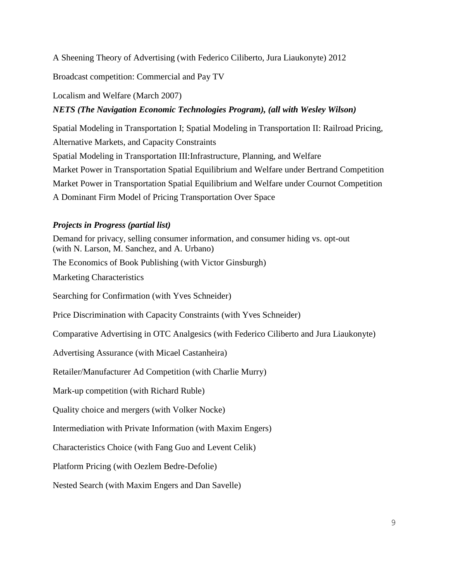A Sheening Theory of Advertising (with Federico Ciliberto, Jura Liaukonyte) 2012

Broadcast competition: Commercial and Pay TV

[Localism and Welfare](file:///C:/Users/sa9w/Desktop/djb4c/Local%20Settings/Temporary%20Internet%20Files/Content.Outlook/0HA8F0OY/Anderson/localism070319.pdf) (March 2007)

# *[NETS](http://www.nets.iwr.usace.army.mil/facts/fact.cfm?activityno=3) (The Navigation Economic Technologies Program), (all with Wesley Wilson)*

[Spatial Modeling in Transportation](http://www.virginia.edu/economics/papers/anderson/SPATIAL%20MODELING%20IN%20TRANSPORTATION%20final.pdf) I; [Spatial Modeling in Transportation II: Railroad Pricing,](http://www.nets.iwr.usace.army.mil/docs/CongestionSpatialEquil/Spatial%20Modeling%20in%20Trans%20II.pdf) [Alternative Markets, and Capacity Constraints](http://www.nets.iwr.usace.army.mil/docs/CongestionSpatialEquil/Spatial%20Modeling%20in%20Trans%20II.pdf) [Spatial Modeling in Transportation III:Infrastructure, Planning, and Welfare](http://www.nets.iwr.usace.army.mil/docs/CongestionSpatialEquil/final042505.pdf) [Market Power in Transportation Spatial Equilibrium and Welfare under Bertrand Competition](http://www.nets.iwr.usace.army.mil/docs/CongestionSpatialEquil/05-NETS-P-07.pdf) [Market Power in Transportation Spatial Equilibrium and Welfare under Cournot Competition](http://www.nets.iwr.usace.army.mil/docs/CongestionSpatialEquil/05-NETS-P-04.pdf) [A Dominant Firm Model of Pricing Transportation Over Space](file:///C:/Users/sa9w/Desktop/djb4c/Local%20Settings/Temporary%20Internet%20Files/Content.Outlook/0HA8F0OY/Anderson/jrs_final_revision.pdf)

# *Projects in Progress (partial list)*

Demand for privacy, selling consumer information, and consumer hiding vs. opt-out (with N. Larson, M. Sanchez, and A. Urbano) The Economics of Book Publishing (with Victor Ginsburgh) Marketing Characteristics Searching for Confirmation (with Yves Schneider) Price Discrimination with Capacity Constraints (with Yves Schneider) Comparative Advertising in OTC Analgesics (with Federico Ciliberto and Jura Liaukonyte) Advertising Assurance (with Micael Castanheira) Retailer/Manufacturer Ad Competition (with Charlie Murry) Mark-up competition (with Richard Ruble) Quality choice and mergers (with Volker Nocke) Intermediation with Private Information (with Maxim Engers) Characteristics Choice (with Fang Guo and Levent Celik) Platform Pricing (with Oezlem Bedre-Defolie) Nested Search (with Maxim Engers and Dan Savelle)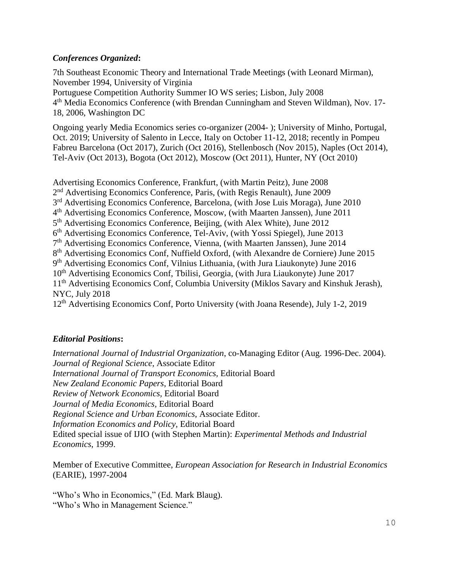# *Conferences Organized***:**

7th Southeast Economic Theory and International Trade Meetings (with Leonard Mirman), November 1994, University of Virginia Portuguese Competition Authority Summer IO WS series; Lisbon, July 2008 4<sup>th</sup> Media Economics Conference (with Brendan Cunningham and Steven Wildman), Nov. 17-18, 2006, Washington DC

Ongoing yearly Media Economics series co-organizer (2004- ); University of Minho, Portugal, Oct. 2019; University of Salento in Lecce, Italy on October 11-12, 2018; recently in Pompeu Fabreu Barcelona (Oct 2017), Zurich (Oct 2016), Stellenbosch (Nov 2015), Naples (Oct 2014), Tel-Aviv (Oct 2013), Bogota (Oct 2012), Moscow (Oct 2011), Hunter, NY (Oct 2010)

Advertising Economics Conference, Frankfurt, (with Martin Peitz), June 2008 2<sup>nd</sup> Advertising Economics Conference, Paris, (with Regis Renault), June 2009 3<sup>rd</sup> Advertising Economics Conference, Barcelona, (with Jose Luis Moraga), June 2010 4<sup>th</sup> Advertising Economics Conference, Moscow, (with Maarten Janssen), June 2011 5<sup>th</sup> Advertising Economics Conference, Beijing, (with Alex White), June 2012 6<sup>th</sup> Advertising Economics Conference, Tel-Aviv, (with Yossi Spiegel), June 2013 7<sup>th</sup> Advertising Economics Conference, Vienna, (with Maarten Janssen), June 2014 8<sup>th</sup> Advertising Economics Conf, Nuffield Oxford, (with Alexandre de Corniere) June 2015 9<sup>th</sup> Advertising Economics Conf, Vilnius Lithuania, (with Jura Liaukonyte) June 2016 10<sup>th</sup> Advertising Economics Conf, Tbilisi, Georgia, (with Jura Liaukonyte) June 2017 11th Advertising Economics Conf, Columbia University (Miklos Savary and Kinshuk Jerash), NYC, July 2018

12<sup>th</sup> Advertising Economics Conf, Porto University (with Joana Resende), July 1-2, 2019

# *Editorial Positions***:**

*International Journal of Industrial Organization*, co-Managing Editor (Aug. 1996-Dec. 2004). *Journal of Regional Science*, Associate Editor *International Journal of Transport Economics,* Editorial Board *New Zealand Economic Papers*, Editorial Board *Review of Network Economics,* Editorial Board *Journal of Media Economics,* Editorial Board *Regional Science and Urban Economics*, Associate Editor. *Information Economics and Policy,* Editorial Board Edited special issue of IJIO (with Stephen Martin): *Experimental Methods and Industrial Economics*, 1999.

Member of Executive Committee, *European Association for Research in Industrial Economics* (EARIE), 1997-2004

"Who's Who in Economics," (Ed. Mark Blaug). "Who's Who in Management Science."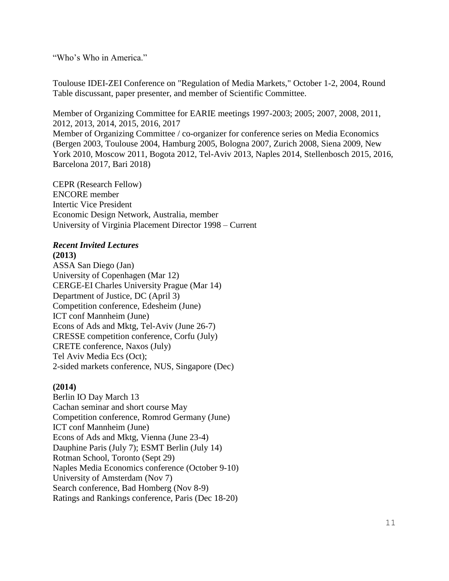"Who's Who in America."

Toulouse IDEI-ZEI Conference on "Regulation of Media Markets," October 1-2, 2004, Round Table discussant, paper presenter, and member of Scientific Committee.

Member of Organizing Committee for EARIE meetings 1997-2003; 2005; 2007, 2008, 2011, 2012, 2013, 2014, 2015, 2016, 2017 Member of Organizing Committee / co-organizer for conference series on Media Economics (Bergen 2003, Toulouse 2004, Hamburg 2005, Bologna 2007, Zurich 2008, Siena 2009, New York 2010, Moscow 2011, Bogota 2012, Tel-Aviv 2013, Naples 2014, Stellenbosch 2015, 2016, Barcelona 2017, Bari 2018)

CEPR (Research Fellow) ENCORE member Intertic Vice President Economic Design Network, Australia, member University of Virginia Placement Director 1998 – Current

## *Recent Invited Lectures*

## **(2013)**

ASSA San Diego (Jan) University of Copenhagen (Mar 12) CERGE-EI Charles University Prague (Mar 14) Department of Justice, DC (April 3) Competition conference, Edesheim (June) ICT conf Mannheim (June) Econs of Ads and Mktg, Tel-Aviv (June 26-7) CRESSE competition conference, Corfu (July) CRETE conference, Naxos (July) Tel Aviv Media Ecs (Oct); 2-sided markets conference, NUS, Singapore (Dec)

## **(2014)**

Berlin IO Day March 13 Cachan seminar and short course May Competition conference, Romrod Germany (June) ICT conf Mannheim (June) Econs of Ads and Mktg, Vienna (June 23-4) Dauphine Paris (July 7); ESMT Berlin (July 14) Rotman School, Toronto (Sept 29) Naples Media Economics conference (October 9-10) University of Amsterdam (Nov 7) Search conference, Bad Homberg (Nov 8-9) Ratings and Rankings conference, Paris (Dec 18-20)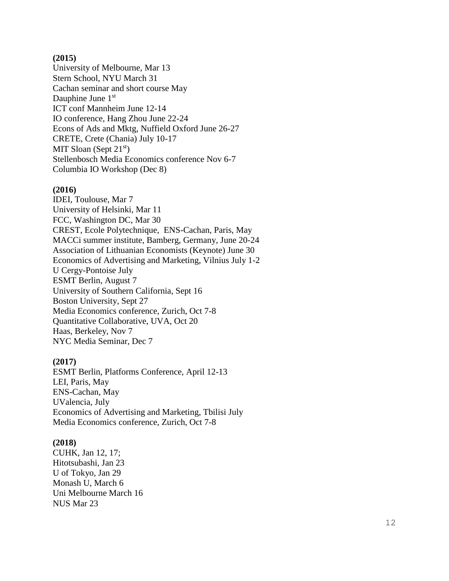## **(2015)**

Univer sity of Melbourne, Mar 13 Stern School, NYU March 31 Cachan seminar and short course May Dauphine June 1<sup>st</sup> ICT conf Mannheim June 12 -14 IO conference, Hang Zhou June 22 -24 Econs of Ads and Mktg, Nuffield Oxford June 26 -27 CRETE, Crete (Chania) July 10 -17 MIT Sloan (Sept  $21<sup>st</sup>$ ) Stellenbosch Media Economics conference Nov 6 - 7 Columbia IO Workshop (Dec 8)

#### **(2016)**

IDEI, Toulouse, Mar 7 University of Helsinki, Mar 11 FCC, Washington DC, Mar 30 CREST, Ecole Polytechnique, ENS -Cachan, Paris, May MACCi summer institute, Bamberg, Germany, June 20 -24 Association of Lithuanian Economists (Keynote) June 30 Economics of Advertising and Marketing, Vilnius July 1 - 2 U Cergy -Pontoise July ESMT Berlin, August 7 University of Southern California, Sept 16 Boston University, Sept 27 Media Economics conference, Zurich, Oct 7 - 8 Quantitative Collaborative, UVA, Oct 20 Haas, Berkeley, Nov 7 NYC Media Seminar, Dec 7

#### **(2017)**

ESMT Berlin, Platforms Conference, April 12 -13 LEI, Paris, May ENS -Cachan, May UValencia, July Economics of Advertising and Marketing, Tbilisi July Media Economics conference, Zurich, Oct 7 - 8

#### **(2018 )**

CUHK, Jan 12, 17; Hitotsubashi, Jan 23 U of Tokyo, Jan 29 Monash U, March 6 Uni Melbourne March 16 NUS Mar 23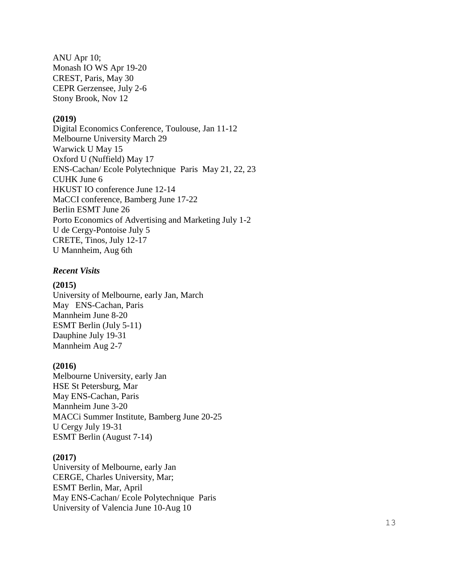ANU Apr 10; Monash IO WS Apr 19 -20 CREST, Paris, May 30 CEPR Gerzensee, July 2 - 6 Stony Brook, Nov 12

## **(2019)**

Digital Economics Conference, Toulouse, Jan 11 -12 Melbourne University March 29 Warwick U May 15 Oxford U (Nuffield) May 17 ENS -Cachan/ Ecole Polytechnique Paris May 21, 22, 23 CUHK June 6 HKUST IO conference June 12 -14 MaCCI conference, Bamberg June 17 -22 Berlin ESMT June 26 Porto Economics of Advertising and Marketing July 1 - 2 U de Cergy -Pontoise July 5 CRETE, Tinos, July 12 -17 U Mannheim, Aug 6th

### *Recent Visits*

#### **(2015)**

Univer sity of Melbourne, early Jan, March May ENS -Cachan, Paris Mannheim June 8 -20 ESMT Berlin (July 5 -11) Dauphine July 19 -31 Mannheim Aug 2 - 7

#### **(2016)**

Melbourne Univer sity, early Jan HSE St Petersburg, Mar May ENS -Cachan, Paris Mannheim June 3 -20 MACCi Summer Institute, Bamberg June 20 -25 U Cergy July 19 -31 ESMT Berlin (August 7 -14)

## **(2017)**

Univer sity of Melbourne, early Jan CERGE, Charles University, Mar; ESMT Berlin, Mar, April May ENS -Cachan/ Ecole Polytechnique Paris University of Valencia June 10 -Aug 10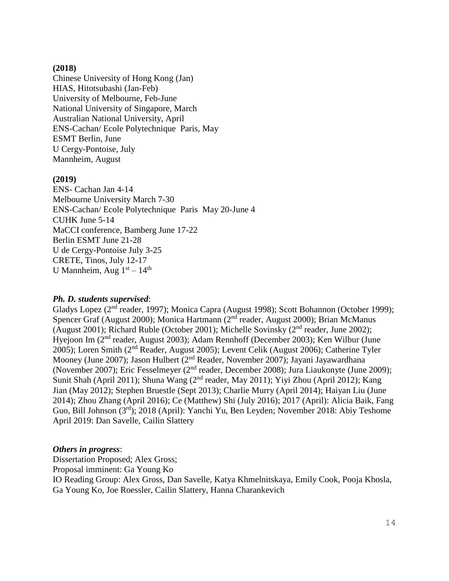## **(2018)**

Chinese University of Hong Kong (Jan) HIAS, Hitotsubashi (Jan-Feb) University of Melbourne, Feb-June National University of Singapore, March Australian National University, April ENS-Cachan/ Ecole Polytechnique Paris, May ESMT Berlin, June U Cergy-Pontoise, July Mannheim, August

## **(2019)**

ENS- Cachan Jan 4-14 Melbourne University March 7-30 ENS-Cachan/ Ecole Polytechnique Paris May 20-June 4 CUHK June 5-14 MaCCI conference, Bamberg June 17-22 Berlin ESMT June 21-28 U de Cergy-Pontoise July 3-25 CRETE, Tinos, July 12-17 U Mannheim, Aug  $1<sup>st</sup> - 14<sup>th</sup>$ 

## *Ph. D. students supervised*:

Gladys Lopez (2<sup>nd</sup> reader, 1997); Monica Capra (August 1998); Scott Bohannon (October 1999); Spencer Graf (August 2000); Monica Hartmann (2nd reader, August 2000); Brian McManus (August 2001); Richard Ruble (October 2001); Michelle Sovinsky ( $2<sup>nd</sup>$  reader, June 2002); Hyejoon Im (2nd reader, August 2003); Adam Rennhoff (December 2003); Ken Wilbur (June 2005); Loren Smith (2nd Reader, August 2005); Levent Celik (August 2006); Catherine Tyler Mooney (June 2007); Jason Hulbert (2nd Reader, November 2007); Jayani Jayawardhana (November 2007); Eric Fesselmeyer (2nd reader, December 2008); Jura Liaukonyte (June 2009); Sunit Shah (April 2011); Shuna Wang (2<sup>nd</sup> reader, May 2011); Yiyi Zhou (April 2012); Kang Jian (May 2012); Stephen Bruestle (Sept 2013); Charlie Murry (April 2014); Haiyan Liu (June 2014); Zhou Zhang (April 2016); Ce (Matthew) Shi (July 2016); 2017 (April): Alicia Baik, Fang Guo, Bill Johnson (3rd); 2018 (April): Yanchi Yu, Ben Leyden; November 2018: Abiy Teshome April 2019: Dan Savelle, Cailin Slattery

### *Others in progress*:

Dissertation Proposed; Alex Gross; Proposal imminent: Ga Young Ko IO Reading Group: Alex Gross, Dan Savelle, Katya Khmelnitskaya, Emily Cook, Pooja Khosla, Ga Young Ko, Joe Roessler, Cailin Slattery, Hanna Charankevich